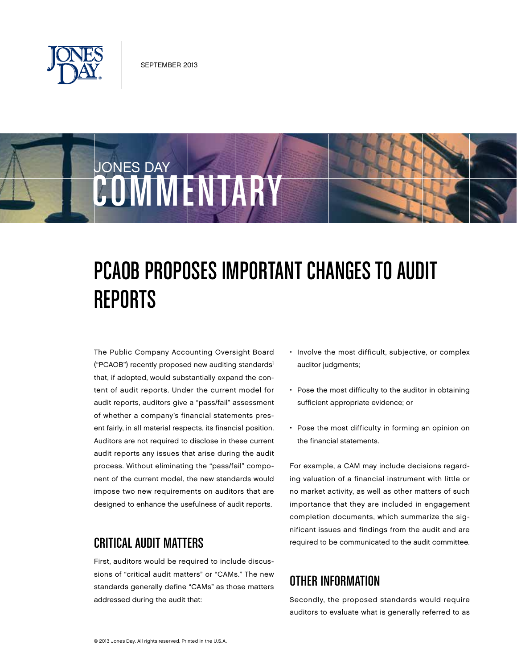

O WIMENTARY

JONES DAY



The Public Company Accounting Oversight Board ("PCAOB") recently proposed new auditing standards1 that, if adopted, would substantially expand the content of audit reports. Under the current model for audit reports, auditors give a "pass/fail" assessment of whether a company's financial statements present fairly, in all material respects, its financial position. Auditors are not required to disclose in these current audit reports any issues that arise during the audit process. Without eliminating the "pass/fail" component of the current model, the new standards would impose two new requirements on auditors that are designed to enhance the usefulness of audit reports.

#### Critical Audit Matters

First, auditors would be required to include discussions of "critical audit matters" or "CAMs." The new standards generally define "CAMs" as those matters addressed during the audit that:

- Involve the most difficult, subjective, or complex auditor judgments;
- Pose the most difficulty to the auditor in obtaining sufficient appropriate evidence; or
- Pose the most difficulty in forming an opinion on the financial statements.

For example, a CAM may include decisions regarding valuation of a financial instrument with little or no market activity, as well as other matters of such importance that they are included in engagement completion documents, which summarize the significant issues and findings from the audit and are required to be communicated to the audit committee.

# Other Information

Secondly, the proposed standards would require auditors to evaluate what is generally referred to as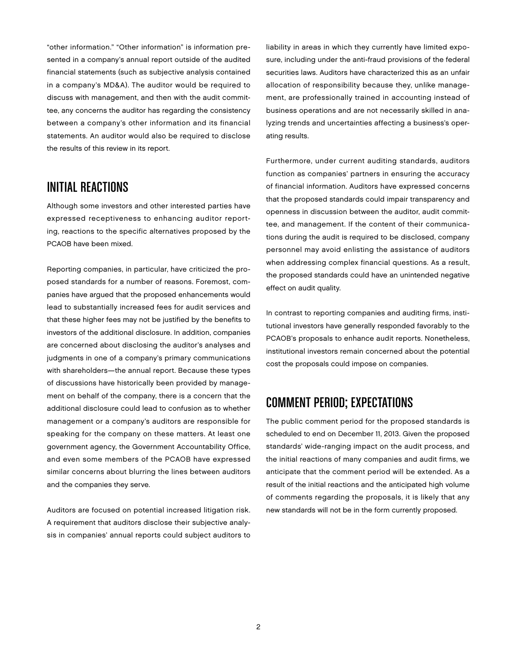"other information." "Other information" is information presented in a company's annual report outside of the audited financial statements (such as subjective analysis contained in a company's MD&A). The auditor would be required to discuss with management, and then with the audit committee, any concerns the auditor has regarding the consistency between a company's other information and its financial statements. An auditor would also be required to disclose the results of this review in its report.

#### Initial Reactions

Although some investors and other interested parties have expressed receptiveness to enhancing auditor reporting, reactions to the specific alternatives proposed by the PCAOB have been mixed.

Reporting companies, in particular, have criticized the proposed standards for a number of reasons. Foremost, companies have argued that the proposed enhancements would lead to substantially increased fees for audit services and that these higher fees may not be justified by the benefits to investors of the additional disclosure. In addition, companies are concerned about disclosing the auditor's analyses and judgments in one of a company's primary communications with shareholders—the annual report. Because these types of discussions have historically been provided by management on behalf of the company, there is a concern that the additional disclosure could lead to confusion as to whether management or a company's auditors are responsible for speaking for the company on these matters. At least one government agency, the Government Accountability Office, and even some members of the PCAOB have expressed similar concerns about blurring the lines between auditors and the companies they serve.

Auditors are focused on potential increased litigation risk. A requirement that auditors disclose their subjective analysis in companies' annual reports could subject auditors to liability in areas in which they currently have limited exposure, including under the anti-fraud provisions of the federal securities laws. Auditors have characterized this as an unfair allocation of responsibility because they, unlike management, are professionally trained in accounting instead of business operations and are not necessarily skilled in analyzing trends and uncertainties affecting a business's operating results.

Furthermore, under current auditing standards, auditors function as companies' partners in ensuring the accuracy of financial information. Auditors have expressed concerns that the proposed standards could impair transparency and openness in discussion between the auditor, audit committee, and management. If the content of their communications during the audit is required to be disclosed, company personnel may avoid enlisting the assistance of auditors when addressing complex financial questions. As a result, the proposed standards could have an unintended negative effect on audit quality.

In contrast to reporting companies and auditing firms, institutional investors have generally responded favorably to the PCAOB's proposals to enhance audit reports. Nonetheless, institutional investors remain concerned about the potential cost the proposals could impose on companies.

# Comment Period; Expectations

The public comment period for the proposed standards is scheduled to end on December 11, 2013. Given the proposed standards' wide-ranging impact on the audit process, and the initial reactions of many companies and audit firms, we anticipate that the comment period will be extended. As a result of the initial reactions and the anticipated high volume of comments regarding the proposals, it is likely that any new standards will not be in the form currently proposed.